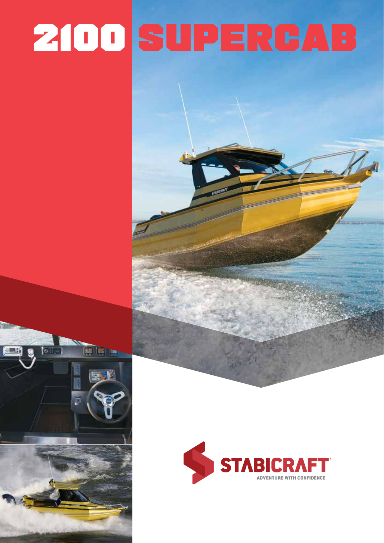# 2100 SUPERCAB

 $\overline{\bullet}$